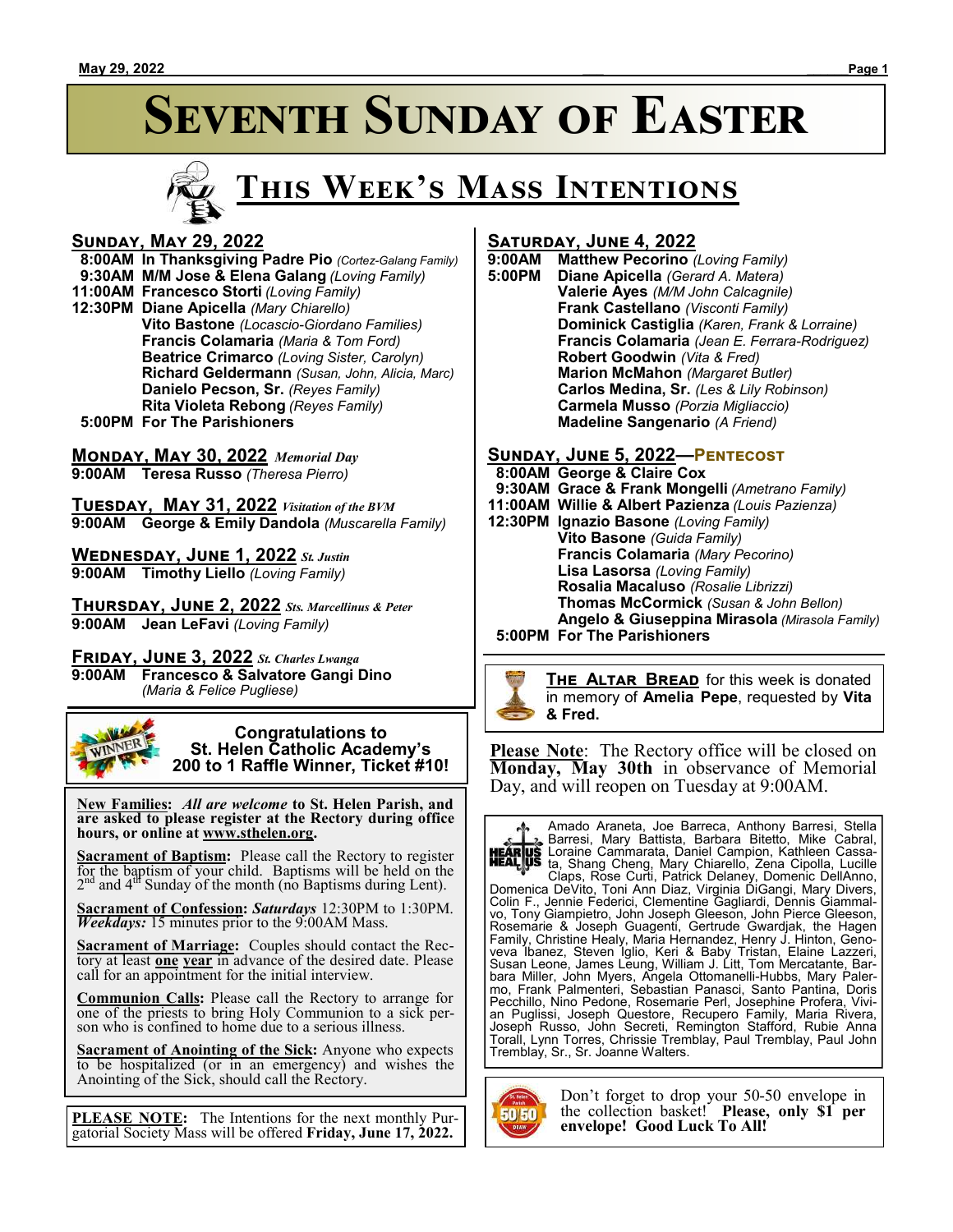



#### **Sunday, May 29, 2022**

 **8:00AM In Thanksgiving Padre Pio** *(Cortez-Galang Family)*  **9:30AM M/M Jose & Elena Galang** *(Loving Family)* **11:00AM Francesco Storti** *(Loving Family)* **12:30PM Diane Apicella** *(Mary Chiarello)* **Vito Bastone** *(Locascio-Giordano Families)* **Francis Colamaria** *(Maria & Tom Ford)* **Beatrice Crimarco** *(Loving Sister, Carolyn)* **Richard Geldermann** *(Susan, John, Alicia, Marc)* **Danielo Pecson, Sr.** *(Reyes Family)* **Rita Violeta Rebong** *(Reyes Family)*

 **5:00PM For The Parishioners**

#### **Monday, May 30, 2022** *Memorial Day*

**9:00AM Teresa Russo** *(Theresa Pierro)*

**Tuesday, May 31, 2022** *Visitation of the BVM* **9:00AM George & Emily Dandola** *(Muscarella Family)*

**Wednesday, June 1, 2022** *St. Justin* **9:00AM Timothy Liello** *(Loving Family)*

**Thursday, June 2, 2022** *Sts. Marcellinus & Peter* **9:00AM Jean LeFavi** *(Loving Family)*

**Friday, June 3, 2022** *St. Charles Lwanga* **9:00AM Francesco & Salvatore Gangi Dino** *(Maria & Felice Pugliese)*



 **New Families:** *All are welcome* **to St. Helen Parish, and are asked to please register at the Rectory during office hours, or online at www.sthelen.org.**

**Sacrament of Baptism:**Please call the Rectory to register for the baptism of your child. Baptisms will be held on the  $2<sup>nd</sup>$  and  $4<sup>df</sup>$  Sunday of the month (no Baptisms during Lent).

**Sacrament of Confession:** *Saturdays* 12:30PM to 1:30PM. *Weekdays:* 15 minutes prior to the 9:00AM Mass.

**Sacrament of Marriage:**Couples should contact the Rectory at least **one year** in advance of the desired date. Please call for an appointment for the initial interview.

**Communion Calls:** Please call the Rectory to arrange for one of the priests to bring Holy Communion to a sick person who is confined to home due to a serious illness.

**Sacrament of Anointing of the Sick:** Anyone who expects to be hospitalized (or in an emergency) and wishes the Anointing of the Sick, should call the Rectory.

**PLEASE NOTE:** The Intentions for the next monthly Purgatorial Society Mass will be offered **Friday, June 17, 2022.**

# **SATURDAY, JUNE 4, 2022**<br>9:00AM Matthew Pecorino

**9:00AM Matthew Pecorino** *(Loving Family)* **Diane Apicella** *(Gerard A. Matera)* **Valerie Ayes** *(M/M John Calcagnile)* **Frank Castellano** *(Visconti Family)* **Dominick Castiglia** *(Karen, Frank & Lorraine)* **Francis Colamaria** *(Jean E. Ferrara-Rodriguez)* **Robert Goodwin** *(Vita & Fred)* **Marion McMahon** *(Margaret Butler)* **Carlos Medina, Sr.** *(Les & Lily Robinson)* **Carmela Musso** *(Porzia Migliaccio)* **Madeline Sangenario** *(A Friend)*

#### **Sunday, June 5, 2022—Pentecost**

 **8:00AM George & Claire Cox 9:30AM Grace & Frank Mongelli** *(Ametrano Family)* **11:00AM Willie & Albert Pazienza** *(Louis Pazienza)* **12:30PM Ignazio Basone** *(Loving Family)* **Vito Basone** *(Guida Family)* **Francis Colamaria** *(Mary Pecorino)* **Lisa Lasorsa** *(Loving Family)* **Rosalia Macaluso** *(Rosalie Librizzi)* **Thomas McCormick** *(Susan & John Bellon)* **Angelo & Giuseppina Mirasola** *(Mirasola Family)*

 **5:00PM For The Parishioners**



**THE ALTAR BREAD** for this week is donated in memory of **Amelia Pepe**, requested by **Vita & Fred.**

**Please Note**: The Rectory office will be closed on **Monday, May 30th** in observance of Memorial Day, and will reopen on Tuesday at 9:00AM.



Amado Araneta, Joe Barreca, Anthony Barresi, Stella Barresi, Mary Battista, Barbara Bitetto, Mike Cabral, Loraine Cammarata, Daniel Campion, Kathleen Cassata, Shang Cheng, Mary Chiarello, Zena Cipolla, Lucille

Claps, Rose Curti, Patrick Delaney, Domenic DellAnno, Domenica DeVito, Toni Ann Diaz, Virginia DiGangi, Mary Divers, Colin F., Jennie Federici, Clementine Gagliardi, Dennis Giammalvo, Tony Giampietro, John Joseph Gleeson, John Pierce Gleeson, Rosemarie & Joseph Guagenti, Gertrude Gwardjak, the Hagen Family, Christine Healy, Maria Hernandez, Henry J. Hinton, Genoveva Ibanez, Steven Iglio, Keri & Baby Tristan, Elaine Lazzeri, Susan Leone, James Leung, William J. Litt, Tom Mercatante, Barbara Miller, John Myers, Angela Ottomanelli-Hubbs, Mary Palermo, Frank Palmenteri, Sebastian Panasci, Santo Pantina, Doris Pecchillo, Nino Pedone, Rosemarie Perl, Josephine Profera, Vivian Puglissi, Joseph Questore, Recupero Family, Maria Rivera, Joseph Russo, John Secreti, Remington Stafford, Rubie Anna Torall, Lynn Torres, Chrissie Tremblay, Paul Tremblay, Paul John Tremblay, Sr., Sr. Joanne Walters.



Don't forget to drop your 50-50 envelope in the collection basket! **Please, only \$1 per envelope! Good Luck To All!**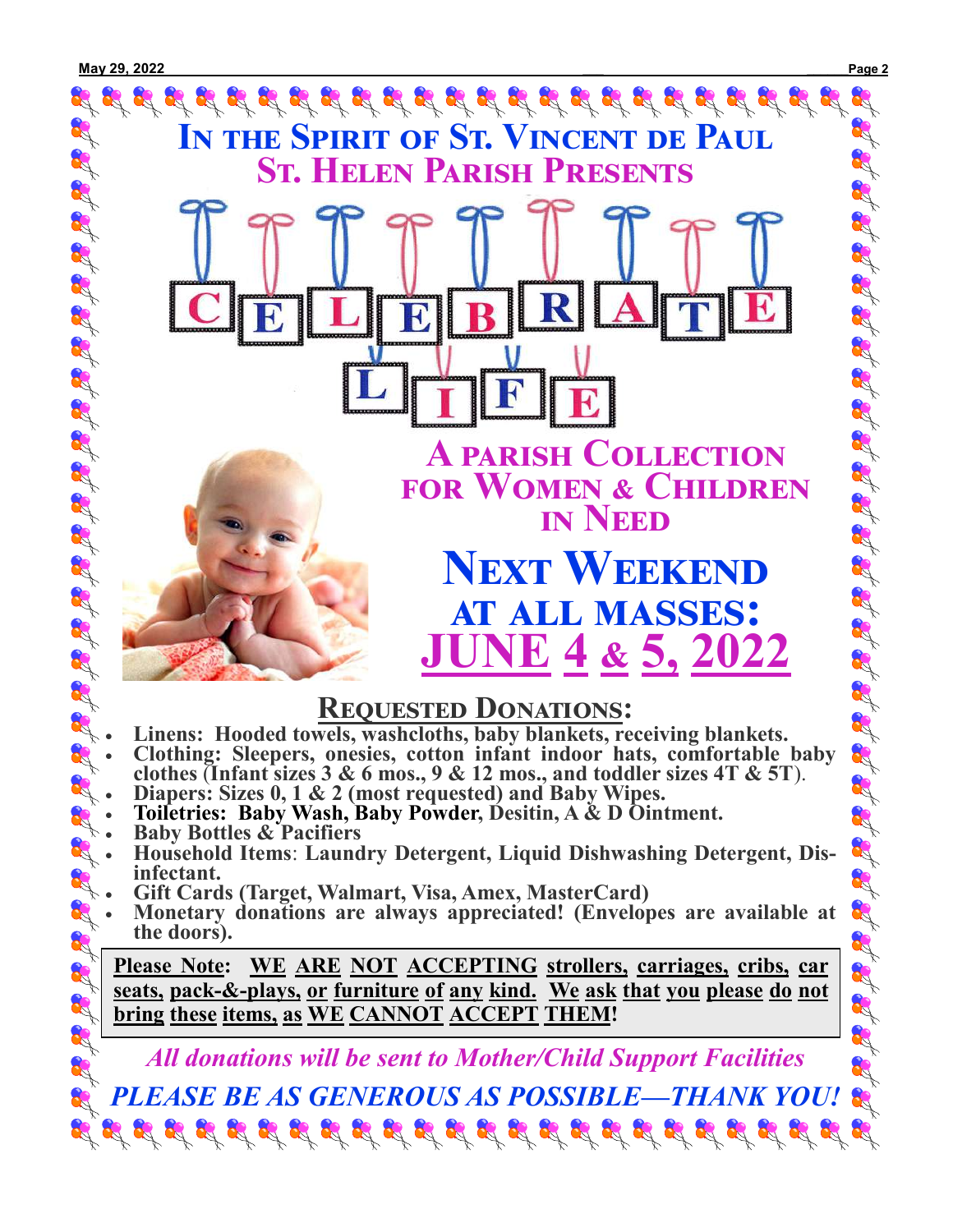

- **clothes** (**Infant sizes 3 & 6 mos., 9 & 12 mos., and toddler sizes 4T & 5T**). R
- **Diapers: Sizes 0, 1 & 2 (most requested) and Baby Wipes.** R
	- **Toiletries: Baby Wash, Baby Powder, Desitin, A & D Ointment.**
	- **Baby Bottles & Pacifiers**

R

R 8

R 8

- **RA** • **Household Items**: **Laundry Detergent, Liquid Dishwashing Detergent, Disinfectant.**
- **Gift Cards (Target, Walmart, Visa, Amex, MasterCard)** R R
	- **Monetary donations are always appreciated! (Envelopes are available at the doors).**

**Please Note: WE ARE NOT ACCEPTING strollers, carriages, cribs, car seats, pack-&-plays, or furniture of any kind. We ask that you please do not bring these items, as WE CANNOT ACCEPT THEM!**

*All donations will be sent to Mother/Child Support Facilities*

*PLEASE BE AS GENEROUS AS POSSIBLE—THANK YOU!*  $\mathcal{B}_1^2 \mathcal{B}_2^2 \mathcal{B}_3^2 \mathcal{B}_4^2 \mathcal{B}_4^2 \mathcal{B}_3^2 \mathcal{B}_2^2 \mathcal{B}_3^2 \mathcal{B}_4^2 \mathcal{B}_4^2 \mathcal{B}_4^2 \mathcal{B}_4^2 \mathcal{B}_4^2 \mathcal{B}_4^2 \mathcal{B}_4^2 \mathcal{B}_4^2 \mathcal{B}_4^2 \mathcal{B}_4^2 \mathcal{B}_4^2 \mathcal{B}_4^2 \mathcal{B}_4^2 \mathcal{B}_4^2 \mathcal{B}_4^2 \mathcal{B}_4^2 \mathcal{$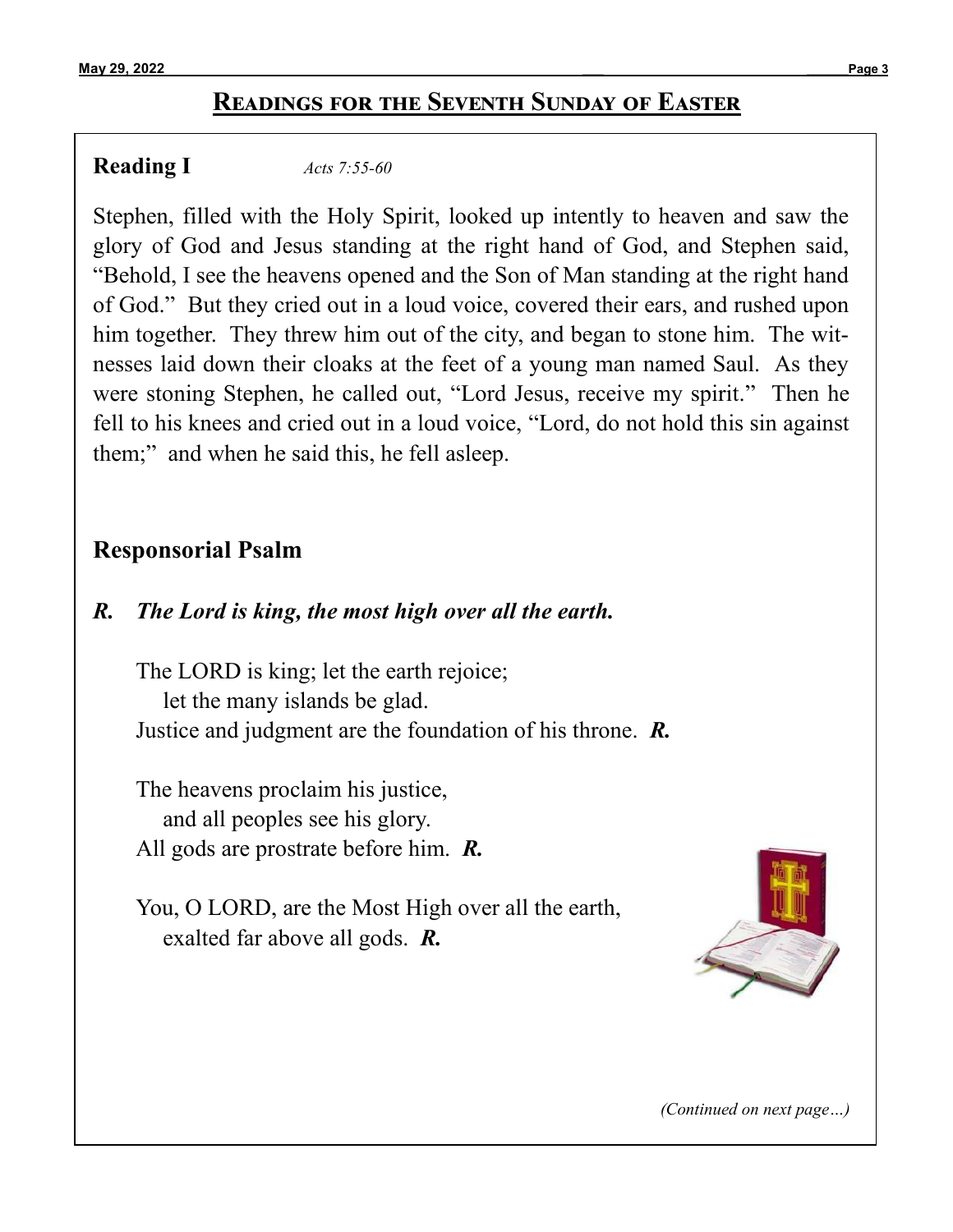## **Readings for the Seventh Sunday of Easter**

### **Reading I** *[Acts 7:55](https://bible.usccb.org/bible/acts%20/7?55)-60*

Stephen, filled with the Holy Spirit, looked up intently to heaven and saw the glory of God and Jesus standing at the right hand of God, and Stephen said, "Behold, I see the heavens opened and the Son of Man standing at the right hand of God." But they cried out in a loud voice, covered their ears, and rushed upon him together. They threw him out of the city, and began to stone him. The witnesses laid down their cloaks at the feet of a young man named Saul. As they were stoning Stephen, he called out, "Lord Jesus, receive my spirit." Then he fell to his knees and cried out in a loud voice, "Lord, do not hold this sin against them;" and when he said this, he fell asleep.

## **Responsorial Psalm**

### *R. The Lord is king, the most high over all the earth.*

The LORD is king; let the earth rejoice; let the many islands be glad. Justice and judgment are the foundation of his throne. *R.*

The heavens proclaim his justice, and all peoples see his glory. All gods are prostrate before him. *R.*

You, O LORD, are the Most High over all the earth, exalted far above all gods. *R.*



*(Continued on next page…)*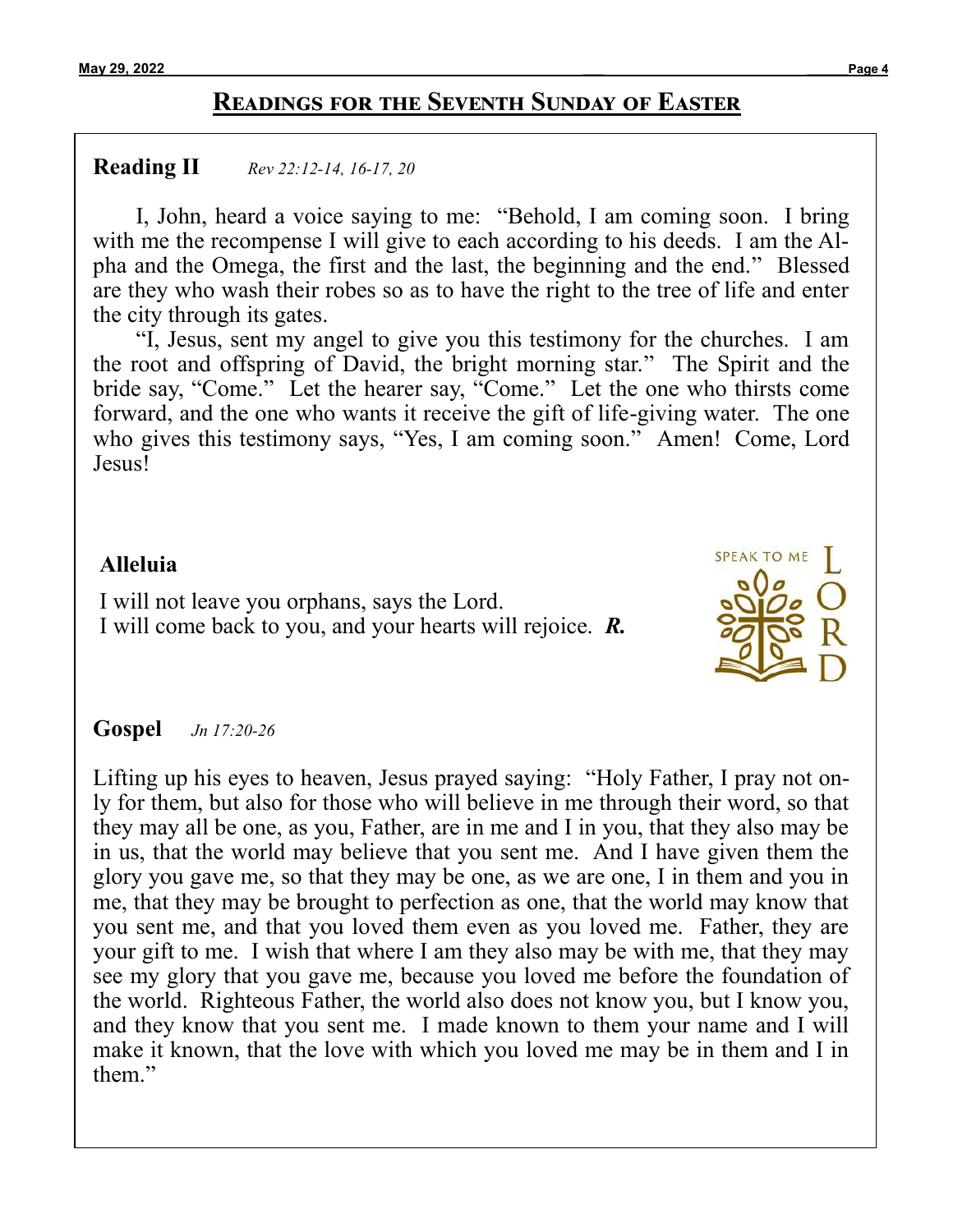## **Readings for the Seventh Sunday of Easter**

#### **Reading II** *[Rev 22:12](https://bible.usccb.org/bible/revelation/22?12)-14, 16-17, 20*

I, John, heard a voice saying to me: "Behold, I am coming soon. I bring with me the recompense I will give to each according to his deeds. I am the Alpha and the Omega, the first and the last, the beginning and the end." Blessed are they who wash their robes so as to have the right to the tree of life and enter the city through its gates.

"I, Jesus, sent my angel to give you this testimony for the churches. I am the root and offspring of David, the bright morning star." The Spirit and the bride say, "Come." Let the hearer say, "Come." Let the one who thirsts come forward, and the one who wants it receive the gift of life-giving water. The one who gives this testimony says, "Yes, I am coming soon." Amen! Come, Lord Jesus!

### **Alleluia**

I will not leave you orphans, says the Lord. I will come back to you, and your hearts will rejoice. *R.*



### **Gospel** *[Jn 17:20](https://bible.usccb.org/bible/john/17?20)-26*

Lifting up his eyes to heaven, Jesus prayed saying: "Holy Father, I pray not only for them, but also for those who will believe in me through their word, so that they may all be one, as you, Father, are in me and I in you, that they also may be in us, that the world may believe that you sent me. And I have given them the glory you gave me, so that they may be one, as we are one, I in them and you in me, that they may be brought to perfection as one, that the world may know that you sent me, and that you loved them even as you loved me. Father, they are your gift to me. I wish that where I am they also may be with me, that they may see my glory that you gave me, because you loved me before the foundation of the world. Righteous Father, the world also does not know you, but I know you, and they know that you sent me. I made known to them your name and I will make it known, that the love with which you loved me may be in them and I in them."